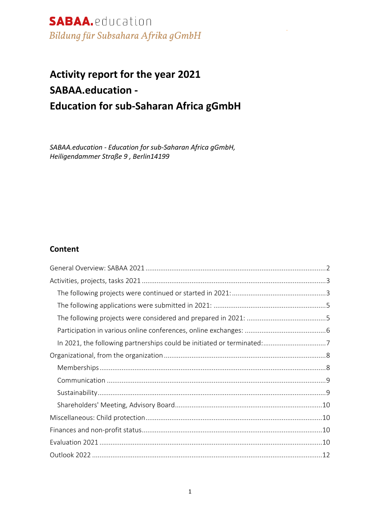# **Activity report for the year 2021 SABAA.education - Education for sub-Saharan Africa gGmbH**

*SABAA.education - Education for sub-Saharan Africa gGmbH, Heiligendammer Straße 9 , Berlin14199*

#### **Content**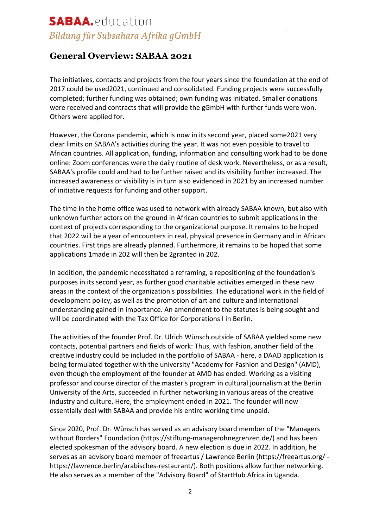### **General Overview: SABAA 2021**

The initiatives, contacts and projects from the four years since the foundation at the end of 2017 could be used2021, continued and consolidated. Funding projects were successfully completed; further funding was obtained; own funding was initiated. Smaller donations were received and contracts that will provide the gGmbH with further funds were won. Others were applied for.

However, the Corona pandemic, which is now in its second year, placed some2021 very clear limits on SABAA's activities during the year. It was not even possible to travel to African countries. All application, funding, information and consulting work had to be done online: Zoom conferences were the daily routine of desk work. Nevertheless, or as a result, SABAA's profile could and had to be further raised and its visibility further increased. The increased awareness or visibility is in turn also evidenced in 2021 by an increased number of initiative requests for funding and other support.

The time in the home office was used to network with already SABAA known, but also with unknown further actors on the ground in African countries to submit applications in the context of projects corresponding to the organizational purpose. It remains to be hoped that 2022 will be a year of encounters in real, physical presence in Germany and in African countries. First trips are already planned. Furthermore, it remains to be hoped that some applications 1made in 202 will then be 2granted in 202.

In addition, the pandemic necessitated a reframing, a repositioning of the foundation's purposes in its second year, as further good charitable activities emerged in these new areas in the context of the organization's possibilities. The educational work in the field of development policy, as well as the promotion of art and culture and international understanding gained in importance. An amendment to the statutes is being sought and will be coordinated with the Tax Office for Corporations I in Berlin.

The activities of the founder Prof. Dr. Ulrich Wünsch outside of SABAA yielded some new contacts, potential partners and fields of work: Thus, with fashion, another field of the creative industry could be included in the portfolio of SABAA - here, a DAAD application is being formulated together with the university "Academy for Fashion and Design" (AMD), even though the employment of the founder at AMD has ended. Working as a visiting professor and course director of the master's program in cultural journalism at the Berlin University of the Arts, succeeded in further networking in various areas of the creative industry and culture. Here, the employment ended in 2021. The founder will now essentially deal with SABAA and provide his entire working time unpaid.

Since 2020, Prof. Dr. Wünsch has served as an advisory board member of the "Managers without Borders" Foundation (https://stiftung-managerohnegrenzen.de/) and has been elected spokesman of the advisory board. A new election is due in 2022. In addition, he serves as an advisory board member of freeartus / Lawrence Berlin (https://freeartus.org/ https://lawrence.berlin/arabisches-restaurant/). Both positions allow further networking. He also serves as a member of the "Advisory Board" of StartHub Africa in Uganda.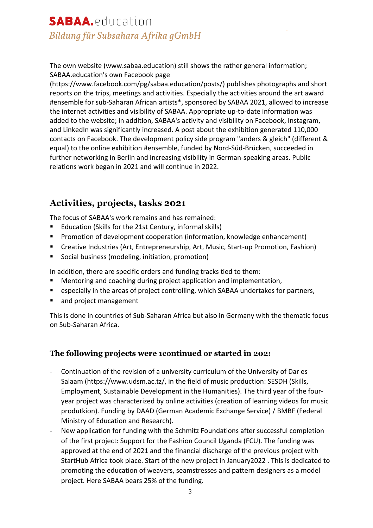The own website (www.sabaa.education) still shows the rather general information; SABAA.education's own Facebook page

(https://www.facebook.com/pg/sabaa.education/posts/) publishes photographs and short reports on the trips, meetings and activities. Especially the activities around the art award #ensemble for sub-Saharan African artists\*, sponsored by SABAA 2021, allowed to increase the internet activities and visibility of SABAA. Appropriate up-to-date information was added to the website; in addition, SABAA's activity and visibility on Facebook, Instagram, and LinkedIn was significantly increased. A post about the exhibition generated 110,000 contacts on Facebook. The development policy side program "anders & gleich" (different & equal) to the online exhibition #ensemble, funded by Nord-Süd-Brücken, succeeded in further networking in Berlin and increasing visibility in German-speaking areas. Public relations work began in 2021 and will continue in 2022.

### **Activities, projects, tasks 2021**

The focus of SABAA's work remains and has remained:

- § Education (Skills for the 21st Century, informal skills)
- § Promotion of development cooperation (information, knowledge enhancement)
- Creative Industries (Art, Entrepreneurship, Art, Music, Start-up Promotion, Fashion)
- § Social business (modeling, initiation, promotion)

In addition, there are specific orders and funding tracks tied to them:

- Mentoring and coaching during project application and implementation,
- especially in the areas of project controlling, which SABAA undertakes for partners,
- and project management

This is done in countries of Sub-Saharan Africa but also in Germany with the thematic focus on Sub-Saharan Africa.

### **The following projects were 1continued or started in 202:**

- Continuation of the revision of a university curriculum of the University of Dar es Salaam (https://www.udsm.ac.tz/, in the field of music production: SESDH (Skills, Employment, Sustainable Development in the Humanities). The third year of the fouryear project was characterized by online activities (creation of learning videos for music produtkion). Funding by DAAD (German Academic Exchange Service) / BMBF (Federal Ministry of Education and Research).
- New application for funding with the Schmitz Foundations after successful completion of the first project: Support for the Fashion Council Uganda (FCU). The funding was approved at the end of 2021 and the financial discharge of the previous project with StartHub Africa took place. Start of the new project in January2022 . This is dedicated to promoting the education of weavers, seamstresses and pattern designers as a model project. Here SABAA bears 25% of the funding.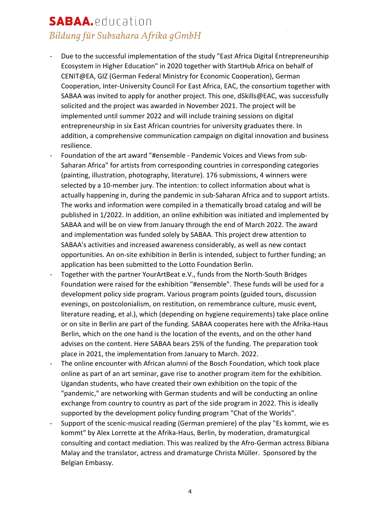- Due to the successful implementation of the study "East Africa Digital Entrepreneurship Ecosystem in Higher Education" in 2020 together with StartHub Africa on behalf of CENIT@EA, GIZ (German Federal Ministry for Economic Cooperation), German Cooperation, Inter-University Council For East Africa, EAC, the consortium together with SABAA was invited to apply for another project. This one, dSkills@EAC, was successfully solicited and the project was awarded in November 2021. The project will be implemented until summer 2022 and will include training sessions on digital entrepreneurship in six East African countries for university graduates there. In addition, a comprehensive communication campaign on digital innovation and business resilience.
- Foundation of the art award "#ensemble Pandemic Voices and Views from sub-Saharan Africa" for artists from corresponding countries in corresponding categories (painting, illustration, photography, literature). 176 submissions, 4 winners were selected by a 10-member jury. The intention: to collect information about what is actually happening in, during the pandemic in sub-Saharan Africa and to support artists. The works and information were compiled in a thematically broad catalog and will be published in 1/2022. In addition, an online exhibition was initiated and implemented by SABAA and will be on view from January through the end of March 2022. The award and implementation was funded solely by SABAA. This project drew attention to SABAA's activities and increased awareness considerably, as well as new contact opportunities. An on-site exhibition in Berlin is intended, subject to further funding; an application has been submitted to the Lotto Foundation Berlin.
- Together with the partner YourArtBeat e.V., funds from the North-South Bridges Foundation were raised for the exhibition "#ensemble". These funds will be used for a development policy side program. Various program points (guided tours, discussion evenings, on postcolonialism, on restitution, on remembrance culture, music event, literature reading, et al.), which (depending on hygiene requirements) take place online or on site in Berlin are part of the funding. SABAA cooperates here with the Afrika-Haus Berlin, which on the one hand is the location of the events, and on the other hand advises on the content. Here SABAA bears 25% of the funding. The preparation took place in 2021, the implementation from January to March. 2022.
- The online encounter with African alumni of the Bosch Foundation, which took place online as part of an art seminar, gave rise to another program item for the exhibition. Ugandan students, who have created their own exhibition on the topic of the "pandemic," are networking with German students and will be conducting an online exchange from country to country as part of the side program in 2022. This is ideally supported by the development policy funding program "Chat of the Worlds".
- Support of the scenic-musical reading (German premiere) of the play "Es kommt, wie es kommt" by Alex Lorrette at the Afrika-Haus, Berlin, by moderation, dramaturgical consulting and contact mediation. This was realized by the Afro-German actress Bibiana Malay and the translator, actress and dramaturge Christa Müller. Sponsored by the Belgian Embassy.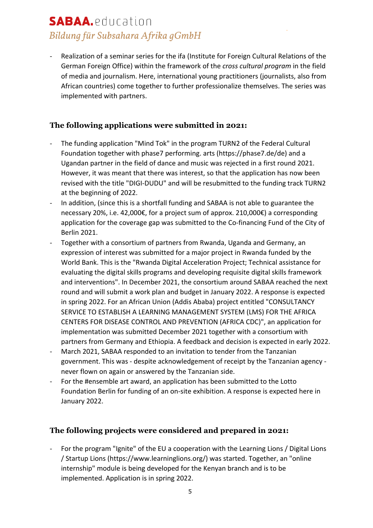Realization of a seminar series for the ifa (Institute for Foreign Cultural Relations of the German Foreign Office) within the framework of the *cross cultural program* in the field of media and journalism. Here, international young practitioners (journalists, also from African countries) come together to further professionalize themselves. The series was implemented with partners.

#### **The following applications were submitted in 2021:**

- The funding application "Mind Tok" in the program TURN2 of the Federal Cultural Foundation together with phase7 performing. arts (https://phase7.de/de) and a Ugandan partner in the field of dance and music was rejected in a first round 2021. However, it was meant that there was interest, so that the application has now been revised with the title "DIGI-DUDU" and will be resubmitted to the funding track TURN2 at the beginning of 2022.
- In addition, (since this is a shortfall funding and SABAA is not able to guarantee the necessary 20%, i.e. 42,000€, for a project sum of approx. 210,000€) a corresponding application for the coverage gap was submitted to the Co-financing Fund of the City of Berlin 2021.
- Together with a consortium of partners from Rwanda, Uganda and Germany, an expression of interest was submitted for a major project in Rwanda funded by the World Bank. This is the "Rwanda Digital Acceleration Project; Technical assistance for evaluating the digital skills programs and developing requisite digital skills framework and interventions". In December 2021, the consortium around SABAA reached the next round and will submit a work plan and budget in January 2022. A response is expected in spring 2022. For an African Union (Addis Ababa) project entitled "CONSULTANCY SERVICE TO ESTABLISH A LEARNING MANAGEMENT SYSTEM (LMS) FOR THE AFRICA CENTERS FOR DISEASE CONTROL AND PREVENTION (AFRICA CDC)", an application for implementation was submitted December 2021 together with a consortium with partners from Germany and Ethiopia. A feedback and decision is expected in early 2022.
- March 2021, SABAA responded to an invitation to tender from the Tanzanian government. This was - despite acknowledgement of receipt by the Tanzanian agency never flown on again or answered by the Tanzanian side.
- For the #ensemble art award, an application has been submitted to the Lotto Foundation Berlin for funding of an on-site exhibition. A response is expected here in January 2022.

### **The following projects were considered and prepared in 2021:**

For the program "Ignite" of the EU a cooperation with the Learning Lions / Digital Lions / Startup Lions (https://www.learninglions.org/) was started. Together, an "online internship" module is being developed for the Kenyan branch and is to be implemented. Application is in spring 2022.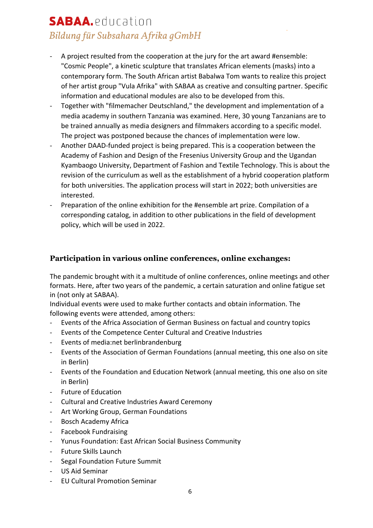- A project resulted from the cooperation at the jury for the art award #ensemble: "Cosmic People", a kinetic sculpture that translates African elements (masks) into a contemporary form. The South African artist Babalwa Tom wants to realize this project of her artist group "Vula Afrika" with SABAA as creative and consulting partner. Specific information and educational modules are also to be developed from this.
- Together with "filmemacher Deutschland," the development and implementation of a media academy in southern Tanzania was examined. Here, 30 young Tanzanians are to be trained annually as media designers and filmmakers according to a specific model. The project was postponed because the chances of implementation were low.
- Another DAAD-funded project is being prepared. This is a cooperation between the Academy of Fashion and Design of the Fresenius University Group and the Ugandan Kyambaogo University, Department of Fashion and Textile Technology. This is about the revision of the curriculum as well as the establishment of a hybrid cooperation platform for both universities. The application process will start in 2022; both universities are interested.
- Preparation of the online exhibition for the #ensemble art prize. Compilation of a corresponding catalog, in addition to other publications in the field of development policy, which will be used in 2022.

#### **Participation in various online conferences, online exchanges:**

The pandemic brought with it a multitude of online conferences, online meetings and other formats. Here, after two years of the pandemic, a certain saturation and online fatigue set in (not only at SABAA).

Individual events were used to make further contacts and obtain information. The following events were attended, among others:

- Events of the Africa Association of German Business on factual and country topics
- Events of the Competence Center Cultural and Creative Industries
- Events of media:net berlinbrandenburg
- Events of the Association of German Foundations (annual meeting, this one also on site in Berlin)
- Events of the Foundation and Education Network (annual meeting, this one also on site in Berlin)
- Future of Education
- Cultural and Creative Industries Award Ceremony
- Art Working Group, German Foundations
- Bosch Academy Africa
- Facebook Fundraising
- Yunus Foundation: East African Social Business Community
- Future Skills Launch
- Segal Foundation Future Summit
- US Aid Seminar
- EU Cultural Promotion Seminar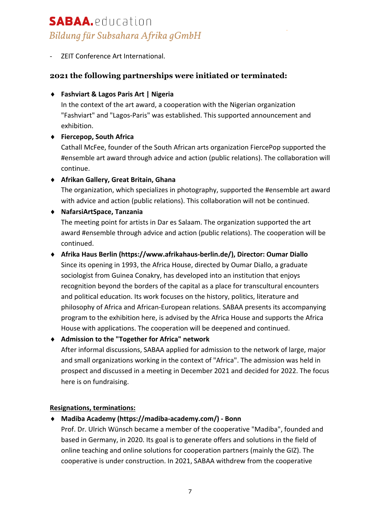ZEIT Conference Art International.

#### **2021 the following partnerships were initiated or terminated:**

#### ¨ **Fashviart & Lagos Paris Art | Nigeria**

In the context of the art award, a cooperation with the Nigerian organization "Fashviart" and "Lagos-Paris" was established. This supported announcement and exhibition.

#### ◆ Fiercepop, South Africa

Cathall McFee, founder of the South African arts organization FiercePop supported the #ensemble art award through advice and action (public relations). The collaboration will continue.

#### ¨ **Afrikan Gallery, Great Britain, Ghana**

The organization, which specializes in photography, supported the #ensemble art award with advice and action (public relations). This collaboration will not be continued.

#### ¨ **NafarsiArtSpace, Tanzania**

The meeting point for artists in Dar es Salaam. The organization supported the art award #ensemble through advice and action (public relations). The cooperation will be continued.

### ¨ **Afrika Haus Berlin (https://www.afrikahaus-berlin.de/), Director: Oumar Diallo**

Since its opening in 1993, the Africa House, directed by Oumar Diallo, a graduate sociologist from Guinea Conakry, has developed into an institution that enjoys recognition beyond the borders of the capital as a place for transcultural encounters and political education. Its work focuses on the history, politics, literature and philosophy of Africa and African-European relations. SABAA presents its accompanying program to the exhibition here, is advised by the Africa House and supports the Africa House with applications. The cooperation will be deepened and continued.

#### ¨ **Admission to the "Together for Africa" network**

After informal discussions, SABAA applied for admission to the network of large, major and small organizations working in the context of "Africa". The admission was held in prospect and discussed in a meeting in December 2021 and decided for 2022. The focus here is on fundraising.

#### **Resignations, terminations:**

#### ¨ **Madiba Academy (https://madiba-academy.com/) - Bonn**

Prof. Dr. Ulrich Wünsch became a member of the cooperative "Madiba", founded and based in Germany, in 2020. Its goal is to generate offers and solutions in the field of online teaching and online solutions for cooperation partners (mainly the GIZ). The cooperative is under construction. In 2021, SABAA withdrew from the cooperative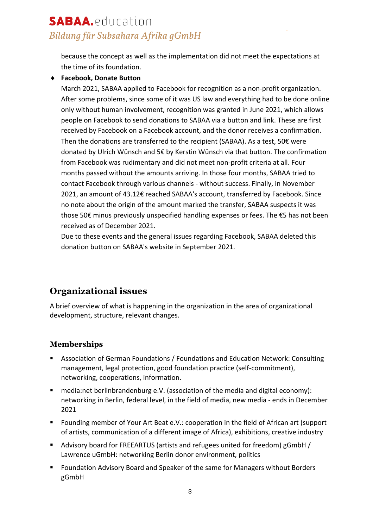because the concept as well as the implementation did not meet the expectations at the time of its foundation.

#### ◆ Facebook, Donate Button

March 2021, SABAA applied to Facebook for recognition as a non-profit organization. After some problems, since some of it was US law and everything had to be done online only without human involvement, recognition was granted in June 2021, which allows people on Facebook to send donations to SABAA via a button and link. These are first received by Facebook on a Facebook account, and the donor receives a confirmation. Then the donations are transferred to the recipient (SABAA). As a test, 50€ were donated by Ulrich Wünsch and 5€ by Kerstin Wünsch via that button. The confirmation from Facebook was rudimentary and did not meet non-profit criteria at all. Four months passed without the amounts arriving. In those four months, SABAA tried to contact Facebook through various channels - without success. Finally, in November 2021, an amount of 43.12€ reached SABAA's account, transferred by Facebook. Since no note about the origin of the amount marked the transfer, SABAA suspects it was those 50€ minus previously unspecified handling expenses or fees. The €5 has not been received as of December 2021.

Due to these events and the general issues regarding Facebook, SABAA deleted this donation button on SABAA's website in September 2021.

### **Organizational issues**

A brief overview of what is happening in the organization in the area of organizational development, structure, relevant changes.

#### **Memberships**

- Association of German Foundations / Foundations and Education Network: Consulting management, legal protection, good foundation practice (self-commitment), networking, cooperations, information.
- § media:net berlinbrandenburg e.V. (association of the media and digital economy): networking in Berlin, federal level, in the field of media, new media - ends in December 2021
- Founding member of Your Art Beat e.V.: cooperation in the field of African art (support of artists, communication of a different image of Africa), exhibitions, creative industry
- § Advisory board for FREEARTUS (artists and refugees united for freedom) gGmbH / Lawrence uGmbH: networking Berlin donor environment, politics
- Foundation Advisory Board and Speaker of the same for Managers without Borders gGmbH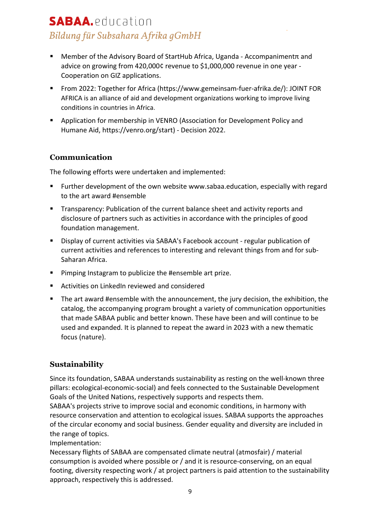- Member of the Advisory Board of StartHub Africa, Uganda Accompanimentπ and advice on growing from 420,000¢ revenue to \$1,000,000 revenue in one year - Cooperation on GIZ applications.
- § From 2022: Together for Africa (https://www.gemeinsam-fuer-afrika.de/): JOINT FOR AFRICA is an alliance of aid and development organizations working to improve living conditions in countries in Africa.
- Application for membership in VENRO (Association for Development Policy and Humane Aid, https://venro.org/start) - Decision 2022.

### **Communication**

The following efforts were undertaken and implemented:

- § Further development of the own website www.sabaa.education, especially with regard to the art award #ensemble
- Transparency: Publication of the current balance sheet and activity reports and disclosure of partners such as activities in accordance with the principles of good foundation management.
- Display of current activities via SABAA's Facebook account regular publication of current activities and references to interesting and relevant things from and for sub-Saharan Africa.
- Pimping Instagram to publicize the #ensemble art prize.
- Activities on LinkedIn reviewed and considered
- § The art award #ensemble with the announcement, the jury decision, the exhibition, the catalog, the accompanying program brought a variety of communication opportunities that made SABAA public and better known. These have been and will continue to be used and expanded. It is planned to repeat the award in 2023 with a new thematic focus (nature).

### **Sustainability**

Since its foundation, SABAA understands sustainability as resting on the well-known three pillars: ecological-economic-social) and feels connected to the Sustainable Development Goals of the United Nations, respectively supports and respects them.

SABAA's projects strive to improve social and economic conditions, in harmony with resource conservation and attention to ecological issues. SABAA supports the approaches of the circular economy and social business. Gender equality and diversity are included in the range of topics.

Implementation:

Necessary flights of SABAA are compensated climate neutral (atmosfair) / material consumption is avoided where possible or / and it is resource-conserving, on an equal footing, diversity respecting work / at project partners is paid attention to the sustainability approach, respectively this is addressed.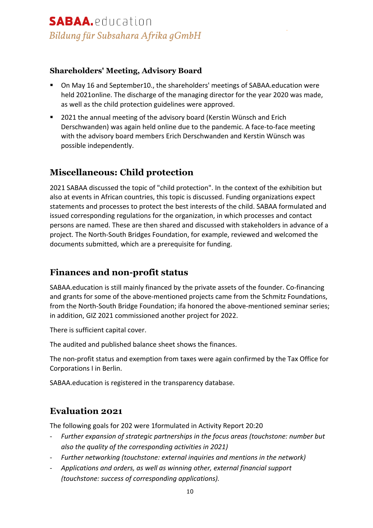#### **Shareholders' Meeting, Advisory Board**

- § On May 16 and September10., the shareholders' meetings of SABAA.education were held 2021online. The discharge of the managing director for the year 2020 was made, as well as the child protection guidelines were approved.
- § 2021 the annual meeting of the advisory board (Kerstin Wünsch and Erich Derschwanden) was again held online due to the pandemic. A face-to-face meeting with the advisory board members Erich Derschwanden and Kerstin Wünsch was possible independently.

### **Miscellaneous: Child protection**

2021 SABAA discussed the topic of "child protection". In the context of the exhibition but also at events in African countries, this topic is discussed. Funding organizations expect statements and processes to protect the best interests of the child. SABAA formulated and issued corresponding regulations for the organization, in which processes and contact persons are named. These are then shared and discussed with stakeholders in advance of a project. The North-South Bridges Foundation, for example, reviewed and welcomed the documents submitted, which are a prerequisite for funding.

### **Finances and non-profit status**

SABAA.education is still mainly financed by the private assets of the founder. Co-financing and grants for some of the above-mentioned projects came from the Schmitz Foundations, from the North-South Bridge Foundation; ifa honored the above-mentioned seminar series; in addition, GIZ 2021 commissioned another project for 2022.

There is sufficient capital cover.

The audited and published balance sheet shows the finances.

The non-profit status and exemption from taxes were again confirmed by the Tax Office for Corporations I in Berlin.

SABAA.education is registered in the transparency database.

### **Evaluation 2021**

The following goals for 202 were 1formulated in Activity Report 20:20

- Further expansion of strategic partnerships in the focus areas (touchstone: number but *also the quality of the corresponding activities in 2021)*
- *Further networking (touchstone: external inquiries and mentions in the network)*
- *Applications and orders, as well as winning other, external financial support (touchstone: success of corresponding applications).*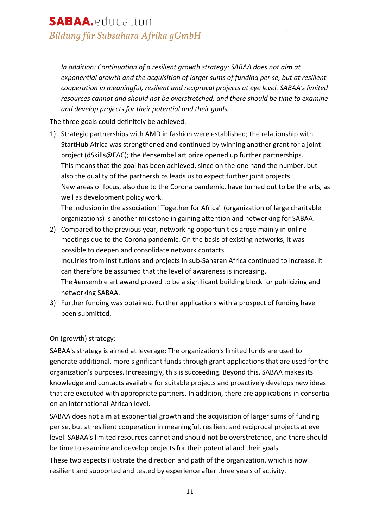*In addition: Continuation of a resilient growth strategy: SABAA does not aim at exponential growth and the acquisition of larger sums of funding per se, but at resilient cooperation in meaningful, resilient and reciprocal projects at eye level. SABAA's limited resources cannot and should not be overstretched, and there should be time to examine and develop projects for their potential and their goals.*

The three goals could definitely be achieved.

1) Strategic partnerships with AMD in fashion were established; the relationship with StartHub Africa was strengthened and continued by winning another grant for a joint project (dSkills@EAC); the #ensembel art prize opened up further partnerships. This means that the goal has been achieved, since on the one hand the number, but also the quality of the partnerships leads us to expect further joint projects. New areas of focus, also due to the Corona pandemic, have turned out to be the arts, as well as development policy work. The inclusion in the association "Together for Africa" (organization of large charitable

organizations) is another milestone in gaining attention and networking for SABAA. 2) Compared to the previous year, networking opportunities arose mainly in online

meetings due to the Corona pandemic. On the basis of existing networks, it was possible to deepen and consolidate network contacts. Inquiries from institutions and projects in sub-Saharan Africa continued to increase. It can therefore be assumed that the level of awareness is increasing.

The #ensemble art award proved to be a significant building block for publicizing and networking SABAA.

3) Further funding was obtained. Further applications with a prospect of funding have been submitted.

#### On (growth) strategy:

SABAA's strategy is aimed at leverage: The organization's limited funds are used to generate additional, more significant funds through grant applications that are used for the organization's purposes. Increasingly, this is succeeding. Beyond this, SABAA makes its knowledge and contacts available for suitable projects and proactively develops new ideas that are executed with appropriate partners. In addition, there are applications in consortia on an international-African level.

SABAA does not aim at exponential growth and the acquisition of larger sums of funding per se, but at resilient cooperation in meaningful, resilient and reciprocal projects at eye level. SABAA's limited resources cannot and should not be overstretched, and there should be time to examine and develop projects for their potential and their goals.

These two aspects illustrate the direction and path of the organization, which is now resilient and supported and tested by experience after three years of activity.